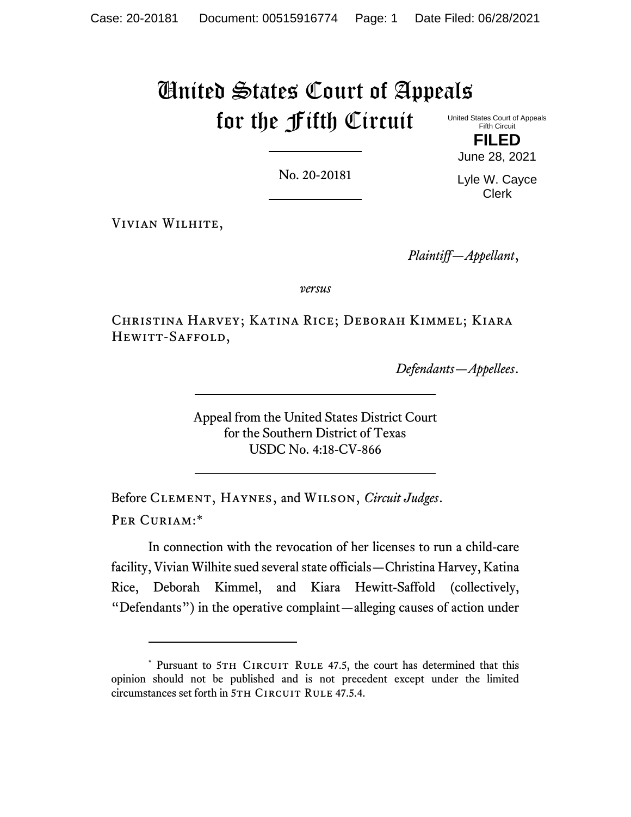# United States Court of Appeals for the Fifth Circuit

United States Court of Appeals Fifth Circuit **FILED**

No. 20-20181

Lyle W. Cayce Clerk

June 28, 2021

Vivian Wilhite,

*Plaintiff—Appellant*,

*versus*

Christina Harvey; Katina Rice; Deborah Kimmel; Kiara HEWITT-SAFFOLD,

*Defendants—Appellees*.

Appeal from the United States District Court for the Southern District of Texas USDC No. 4:18-CV-866

Before Clement, Haynes, and Wilson, *Circuit Judges*. Per Curiam:\*

In connection with the revocation of her licenses to run a child-care facility, Vivian Wilhite sued several state officials—Christina Harvey, Katina Rice, Deborah Kimmel, and Kiara Hewitt-Saffold (collectively, "Defendants") in the operative complaint—alleging causes of action under

<sup>\*</sup> Pursuant to 5TH CIRCUIT RULE 47.5, the court has determined that this opinion should not be published and is not precedent except under the limited circumstances set forth in 5TH CIRCUIT RULE 47.5.4.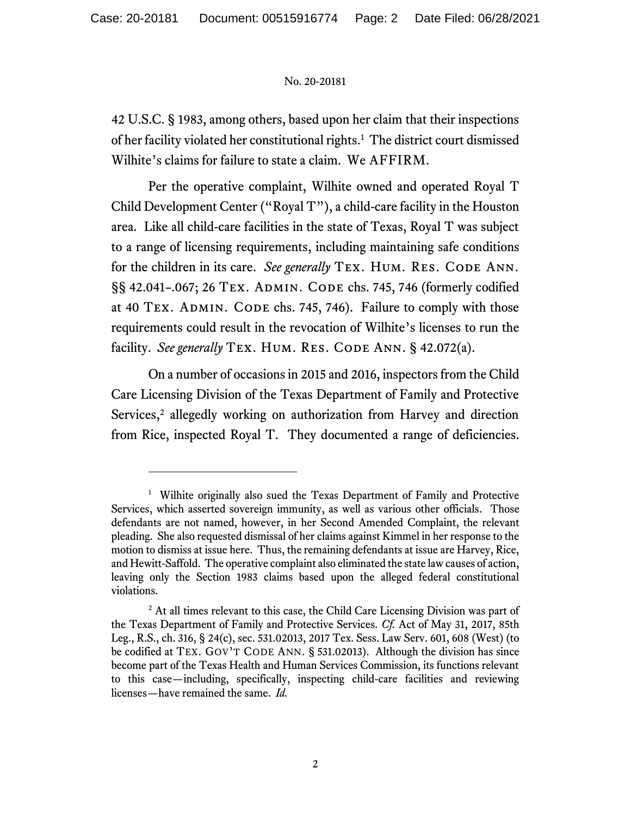42 U.S.C. § 1983, among others, based upon her claim that their inspections of her facility violated her constitutional rights.<sup>1</sup> The district court dismissed Wilhite's claims for failure to state a claim. We AFFIRM.

Per the operative complaint, Wilhite owned and operated Royal T Child Development Center ("Royal T"), a child-care facility in the Houston area. Like all child-care facilities in the state of Texas, Royal T was subject to a range of licensing requirements, including maintaining safe conditions for the children in its care. *See generally* TEX. HUM. RES. CODE ANN. §§ 42.041-.067; 26 TEX. ADMIN. CODE chs. 745, 746 (formerly codified at 40 TEX. ADMIN. CODE chs. 745, 746). Failure to comply with those requirements could result in the revocation of Wilhite's licenses to run the facility. *See generally* TEX. HUM. RES. CODE ANN. § 42.072(a).

On a number of occasions in 2015 and 2016, inspectors from the Child Care Licensing Division of the Texas Department of Family and Protective Services, <sup>2</sup> allegedly working on authorization from Harvey and direction from Rice, inspected Royal T. They documented a range of deficiencies.

<sup>&</sup>lt;sup>1</sup> Wilhite originally also sued the Texas Department of Family and Protective Services, which asserted sovereign immunity, as well as various other officials. Those defendants are not named, however, in her Second Amended Complaint, the relevant pleading. She also requested dismissal of her claims against Kimmel in her response to the motion to dismiss at issue here. Thus, the remaining defendants at issue are Harvey, Rice, and Hewitt-Saffold. The operative complaint also eliminated the state law causes of action, leaving only the Section 1983 claims based upon the alleged federal constitutional violations.

<sup>&</sup>lt;sup>2</sup> At all times relevant to this case, the Child Care Licensing Division was part of the Texas Department of Family and Protective Services. *Cf.* Act of May 31, 2017, 85th Leg., R.S., ch. 316, § 24(c), sec. 531.02013, 2017 Tex. Sess. Law Serv. 601, 608 (West) (to be codified at TEX. GOV'T CODE ANN. § 531.02013). Although the division has since become part of the Texas Health and Human Services Commission, its functions relevant to this case—including, specifically, inspecting child-care facilities and reviewing licenses—have remained the same. *Id.*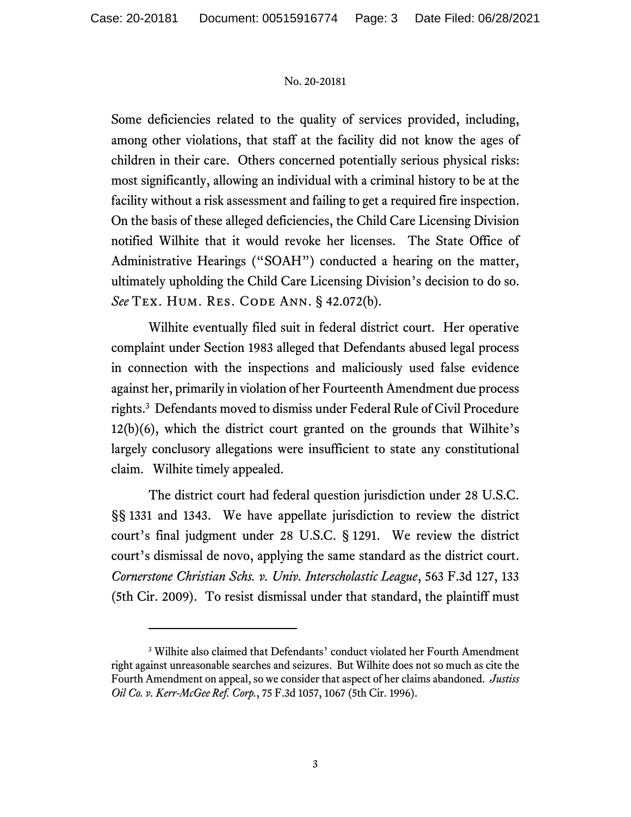Some deficiencies related to the quality of services provided, including, among other violations, that staff at the facility did not know the ages of children in their care. Others concerned potentially serious physical risks: most significantly, allowing an individual with a criminal history to be at the facility without a risk assessment and failing to get a required fire inspection. On the basis of these alleged deficiencies, the Child Care Licensing Division notified Wilhite that it would revoke her licenses. The State Office of Administrative Hearings ("SOAH") conducted a hearing on the matter, ultimately upholding the Child Care Licensing Division's decision to do so. *See* Tex. Hum. Res. Code Ann. § 42.072(b).

Wilhite eventually filed suit in federal district court. Her operative complaint under Section 1983 alleged that Defendants abused legal process in connection with the inspections and maliciously used false evidence against her, primarily in violation of her Fourteenth Amendment due process rights.<sup>3</sup> Defendants moved to dismiss under Federal Rule of Civil Procedure 12(b)(6), which the district court granted on the grounds that Wilhite's largely conclusory allegations were insufficient to state any constitutional claim. Wilhite timely appealed.

The district court had federal question jurisdiction under 28 U.S.C. §§ 1331 and 1343. We have appellate jurisdiction to review the district court's final judgment under 28 U.S.C. § 1291. We review the district court's dismissal de novo, applying the same standard as the district court. *Cornerstone Christian Schs. v. Univ. Interscholastic League*, 563 F.3d 127, 133 (5th Cir. 2009). To resist dismissal under that standard, the plaintiff must

<sup>3</sup> Wilhite also claimed that Defendants' conduct violated her Fourth Amendment right against unreasonable searches and seizures. But Wilhite does not so much as cite the Fourth Amendment on appeal, so we consider that aspect of her claims abandoned. *Justiss Oil Co. v. Kerr-McGee Ref. Corp.*, 75 F.3d 1057, 1067 (5th Cir. 1996).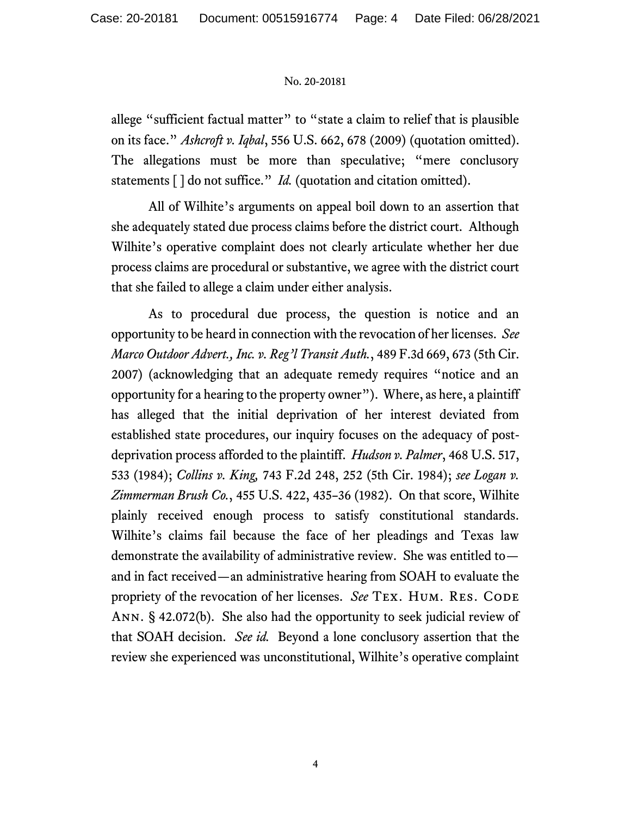allege "sufficient factual matter" to "state a claim to relief that is plausible on its face." *Ashcroft v. Iqbal*, 556 U.S. 662, 678 (2009) (quotation omitted). The allegations must be more than speculative; "mere conclusory statements [] do not suffice." *Id.* (quotation and citation omitted).

All of Wilhite's arguments on appeal boil down to an assertion that she adequately stated due process claims before the district court. Although Wilhite's operative complaint does not clearly articulate whether her due process claims are procedural or substantive, we agree with the district court that she failed to allege a claim under either analysis.

As to procedural due process, the question is notice and an opportunity to be heard in connection with the revocation of her licenses. *See Marco Outdoor Advert., Inc. v. Reg'l Transit Auth.*, 489 F.3d 669, 673 (5th Cir. 2007) (acknowledging that an adequate remedy requires "notice and an opportunity for a hearing to the property owner"). Where, as here, a plaintiff has alleged that the initial deprivation of her interest deviated from established state procedures, our inquiry focuses on the adequacy of postdeprivation process afforded to the plaintiff. *Hudson v. Palmer*, 468 U.S. 517, 533 (1984); *Collins v. King,* 743 F.2d 248, 252 (5th Cir. 1984); *see Logan v. Zimmerman Brush Co.*, 455 U.S. 422, 435–36 (1982). On that score, Wilhite plainly received enough process to satisfy constitutional standards. Wilhite's claims fail because the face of her pleadings and Texas law demonstrate the availability of administrative review. She was entitled to and in fact received—an administrative hearing from SOAH to evaluate the propriety of the revocation of her licenses. *See* TEX. HUM. RES. CODE Ann. § 42.072(b). She also had the opportunity to seek judicial review of that SOAH decision. *See id.* Beyond a lone conclusory assertion that the review she experienced was unconstitutional, Wilhite's operative complaint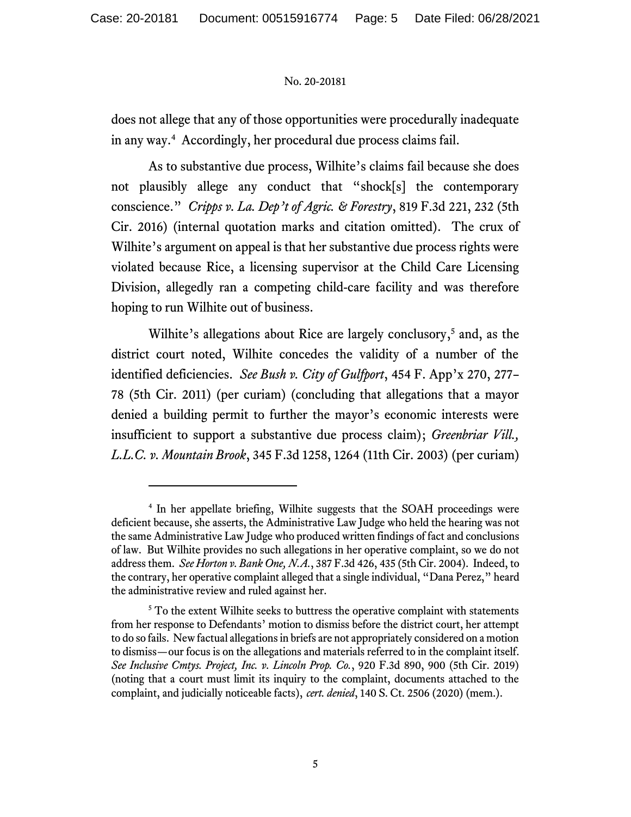does not allege that any of those opportunities were procedurally inadequate in any way. <sup>4</sup> Accordingly, her procedural due process claims fail.

As to substantive due process, Wilhite's claims fail because she does not plausibly allege any conduct that "shock[s] the contemporary conscience." *Cripps v. La. Dep't of Agric. & Forestry*, 819 F.3d 221, 232 (5th Cir. 2016) (internal quotation marks and citation omitted). The crux of Wilhite's argument on appeal is that her substantive due process rights were violated because Rice, a licensing supervisor at the Child Care Licensing Division, allegedly ran a competing child-care facility and was therefore hoping to run Wilhite out of business.

Wilhite's allegations about Rice are largely conclusory, <sup>5</sup> and, as the district court noted, Wilhite concedes the validity of a number of the identified deficiencies. *See Bush v. City of Gulfport*, 454 F. App'x 270, 277– 78 (5th Cir. 2011) (per curiam) (concluding that allegations that a mayor denied a building permit to further the mayor's economic interests were insufficient to support a substantive due process claim); *Greenbriar Vill., L.L.C. v. Mountain Brook*, 345 F.3d 1258, 1264 (11th Cir. 2003) (per curiam)

<sup>4</sup> In her appellate briefing, Wilhite suggests that the SOAH proceedings were deficient because, she asserts, the Administrative Law Judge who held the hearing was not the same Administrative Law Judge who produced written findings of fact and conclusions of law. But Wilhite provides no such allegations in her operative complaint, so we do not address them. *See Horton v. Bank One, N.A.*, 387 F.3d 426, 435 (5th Cir. 2004). Indeed, to the contrary, her operative complaint alleged that a single individual, "Dana Perez," heard the administrative review and ruled against her.

<sup>&</sup>lt;sup>5</sup> To the extent Wilhite seeks to buttress the operative complaint with statements from her response to Defendants' motion to dismiss before the district court, her attempt to do so fails. New factual allegations in briefs are not appropriately considered on a motion to dismiss—our focus is on the allegations and materials referred to in the complaint itself. *See Inclusive Cmtys. Project, Inc. v. Lincoln Prop. Co.*, 920 F.3d 890, 900 (5th Cir. 2019) (noting that a court must limit its inquiry to the complaint, documents attached to the complaint, and judicially noticeable facts), *cert. denied*, 140 S. Ct. 2506 (2020) (mem.).